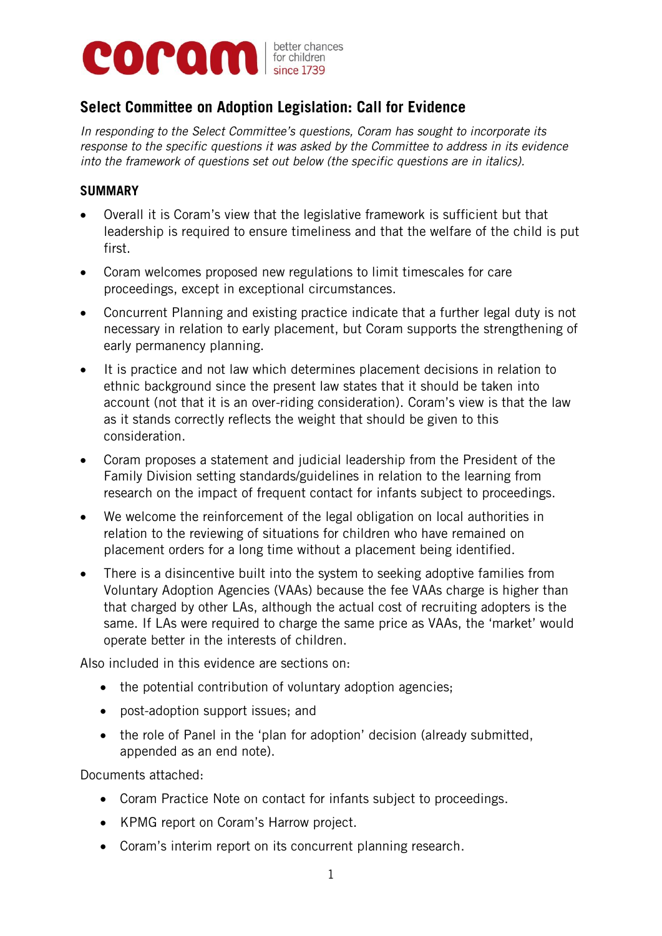

# **Select Committee on Adoption Legislation: Call for Evidence**

*In responding to the Select Committee's questions, Coram has sought to incorporate its response to the specific questions it was asked by the Committee to address in its evidence into the framework of questions set out below (the specific questions are in italics).*

#### **SUMMARY**

- Overall it is Coram's view that the legislative framework is sufficient but that leadership is required to ensure timeliness and that the welfare of the child is put first.
- Coram welcomes proposed new regulations to limit timescales for care proceedings, except in exceptional circumstances.
- Concurrent Planning and existing practice indicate that a further legal duty is not necessary in relation to early placement, but Coram supports the strengthening of early permanency planning.
- It is practice and not law which determines placement decisions in relation to ethnic background since the present law states that it should be taken into account (not that it is an over-riding consideration). Coram's view is that the law as it stands correctly reflects the weight that should be given to this consideration.
- Coram proposes a statement and judicial leadership from the President of the Family Division setting standards/guidelines in relation to the learning from research on the impact of frequent contact for infants subject to proceedings.
- We welcome the reinforcement of the legal obligation on local authorities in relation to the reviewing of situations for children who have remained on placement orders for a long time without a placement being identified.
- There is a disincentive built into the system to seeking adoptive families from Voluntary Adoption Agencies (VAAs) because the fee VAAs charge is higher than that charged by other LAs, although the actual cost of recruiting adopters is the same. If LAs were required to charge the same price as VAAs, the 'market' would operate better in the interests of children.

Also included in this evidence are sections on:

- the potential contribution of voluntary adoption agencies;
- post-adoption support issues; and
- the role of Panel in the 'plan for adoption' decision (already submitted, appended as an end note).

Documents attached:

- Coram Practice Note on contact for infants subject to proceedings.
- KPMG report on Coram's Harrow project.
- Coram's interim report on its concurrent planning research.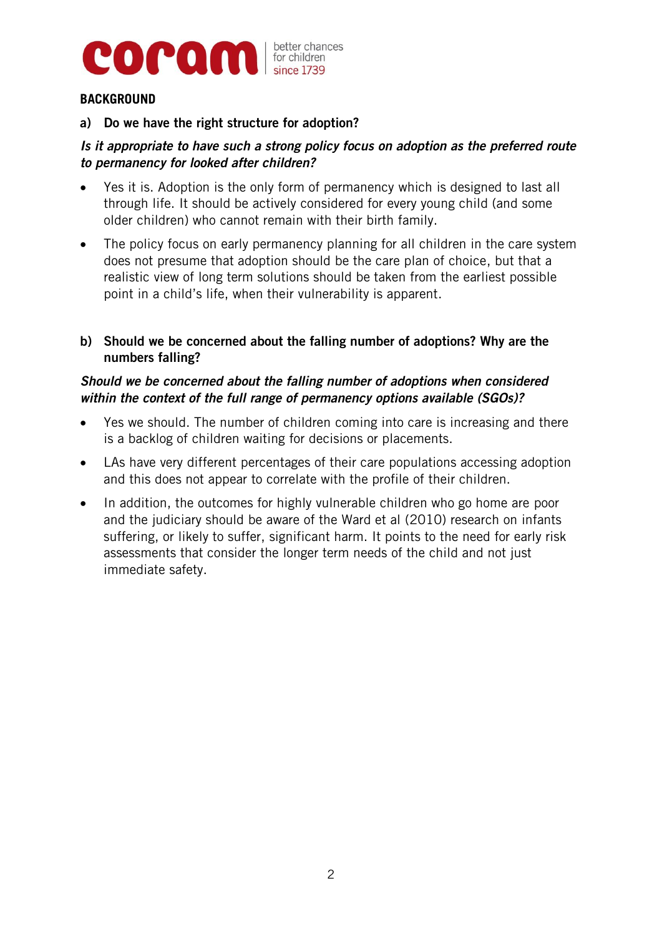

# **BACKGROUND**

# **a) Do we have the right structure for adoption?**

# *Is it appropriate to have such a strong policy focus on adoption as the preferred route to permanency for looked after children?*

- Yes it is. Adoption is the only form of permanency which is designed to last all through life. It should be actively considered for every young child (and some older children) who cannot remain with their birth family.
- The policy focus on early permanency planning for all children in the care system does not presume that adoption should be the care plan of choice, but that a realistic view of long term solutions should be taken from the earliest possible point in a child's life, when their vulnerability is apparent.
- **b) Should we be concerned about the falling number of adoptions? Why are the numbers falling?**

# *Should we be concerned about the falling number of adoptions when considered within the context of the full range of permanency options available (SGOs)?*

- Yes we should. The number of children coming into care is increasing and there is a backlog of children waiting for decisions or placements.
- LAs have very different percentages of their care populations accessing adoption and this does not appear to correlate with the profile of their children.
- In addition, the outcomes for highly vulnerable children who go home are poor and the judiciary should be aware of the Ward et al (2010) research on infants suffering, or likely to suffer, significant harm. It points to the need for early risk assessments that consider the longer term needs of the child and not just immediate safety.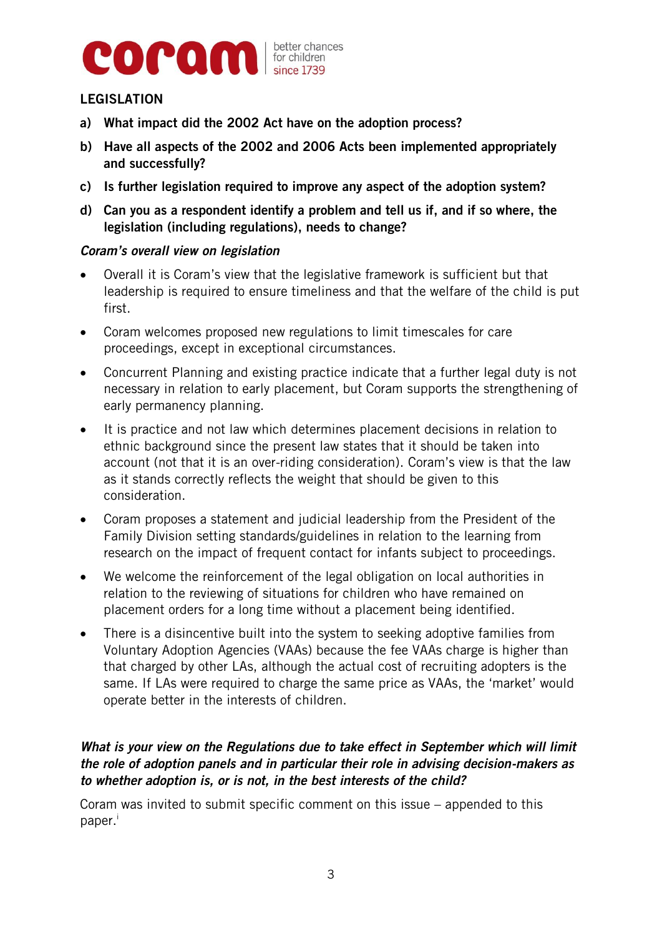

# **LEGISLATION**

- **a) What impact did the 2002 Act have on the adoption process?**
- **b) Have all aspects of the 2002 and 2006 Acts been implemented appropriately and successfully?**
- **c) Is further legislation required to improve any aspect of the adoption system?**
- **d) Can you as a respondent identify a problem and tell us if, and if so where, the legislation (including regulations), needs to change?**

#### *Coram's overall view on legislation*

- Overall it is Coram's view that the legislative framework is sufficient but that leadership is required to ensure timeliness and that the welfare of the child is put first.
- Coram welcomes proposed new regulations to limit timescales for care proceedings, except in exceptional circumstances.
- Concurrent Planning and existing practice indicate that a further legal duty is not necessary in relation to early placement, but Coram supports the strengthening of early permanency planning.
- It is practice and not law which determines placement decisions in relation to ethnic background since the present law states that it should be taken into account (not that it is an over-riding consideration). Coram's view is that the law as it stands correctly reflects the weight that should be given to this consideration.
- Coram proposes a statement and judicial leadership from the President of the Family Division setting standards/guidelines in relation to the learning from research on the impact of frequent contact for infants subject to proceedings.
- We welcome the reinforcement of the legal obligation on local authorities in relation to the reviewing of situations for children who have remained on placement orders for a long time without a placement being identified.
- There is a disincentive built into the system to seeking adoptive families from Voluntary Adoption Agencies (VAAs) because the fee VAAs charge is higher than that charged by other LAs, although the actual cost of recruiting adopters is the same. If LAs were required to charge the same price as VAAs, the 'market' would operate better in the interests of children.

# *What is your view on the Regulations due to take effect in September which will limit the role of adoption panels and in particular their role in advising decision-makers as to whether adoption is, or is not, in the best interests of the child?*

Coram was invited to submit specific comment on this issue – appended to this paper.<sup>i</sup>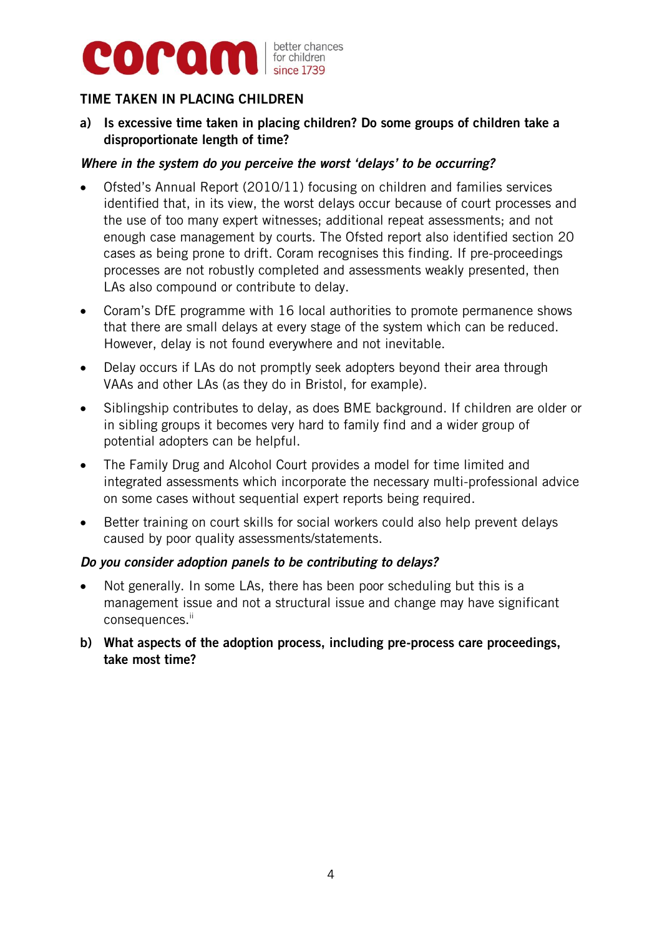

# **TIME TAKEN IN PLACING CHILDREN**

**a) Is excessive time taken in placing children? Do some groups of children take a disproportionate length of time?** 

#### *Where in the system do you perceive the worst 'delays' to be occurring?*

- Ofsted's Annual Report (2010/11) focusing on children and families services identified that, in its view, the worst delays occur because of court processes and the use of too many expert witnesses; additional repeat assessments; and not enough case management by courts. The Ofsted report also identified section 20 cases as being prone to drift. Coram recognises this finding. If pre-proceedings processes are not robustly completed and assessments weakly presented, then LAs also compound or contribute to delay.
- Coram's DfE programme with 16 local authorities to promote permanence shows that there are small delays at every stage of the system which can be reduced. However, delay is not found everywhere and not inevitable.
- Delay occurs if LAs do not promptly seek adopters beyond their area through VAAs and other LAs (as they do in Bristol, for example).
- Siblingship contributes to delay, as does BME background. If children are older or in sibling groups it becomes very hard to family find and a wider group of potential adopters can be helpful.
- The Family Drug and Alcohol Court provides a model for time limited and integrated assessments which incorporate the necessary multi-professional advice on some cases without sequential expert reports being required.
- Better training on court skills for social workers could also help prevent delays caused by poor quality assessments/statements.

# *Do you consider adoption panels to be contributing to delays?*

- Not generally. In some LAs, there has been poor scheduling but this is a management issue and not a structural issue and change may have significant consequences.ii
- **b) What aspects of the adoption process, including pre-process care proceedings, take most time?**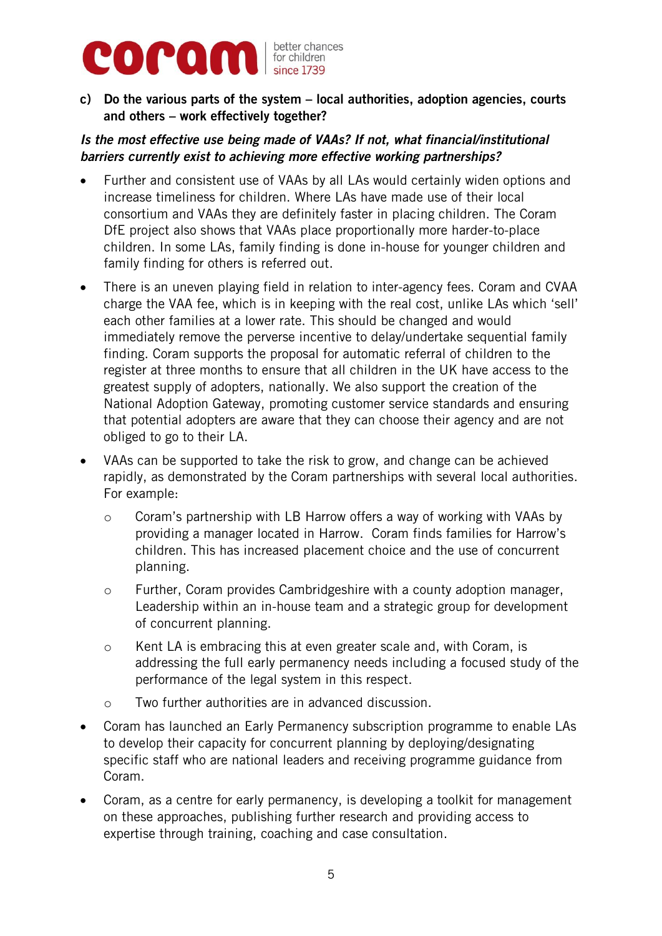

**c) Do the various parts of the system – local authorities, adoption agencies, courts and others – work effectively together?** 

# *Is the most effective use being made of VAAs? If not, what financial/institutional barriers currently exist to achieving more effective working partnerships?*

- Further and consistent use of VAAs by all LAs would certainly widen options and increase timeliness for children. Where LAs have made use of their local consortium and VAAs they are definitely faster in placing children. The Coram DfE project also shows that VAAs place proportionally more harder-to-place children. In some LAs, family finding is done in-house for younger children and family finding for others is referred out.
- There is an uneven playing field in relation to inter-agency fees. Coram and CVAA charge the VAA fee, which is in keeping with the real cost, unlike LAs which 'sell' each other families at a lower rate. This should be changed and would immediately remove the perverse incentive to delay/undertake sequential family finding. Coram supports the proposal for automatic referral of children to the register at three months to ensure that all children in the UK have access to the greatest supply of adopters, nationally. We also support the creation of the National Adoption Gateway, promoting customer service standards and ensuring that potential adopters are aware that they can choose their agency and are not obliged to go to their LA.
- VAAs can be supported to take the risk to grow, and change can be achieved rapidly, as demonstrated by the Coram partnerships with several local authorities. For example:
	- o Coram's partnership with LB Harrow offers a way of working with VAAs by providing a manager located in Harrow. Coram finds families for Harrow's children. This has increased placement choice and the use of concurrent planning.
	- o Further, Coram provides Cambridgeshire with a county adoption manager, Leadership within an in-house team and a strategic group for development of concurrent planning.
	- o Kent LA is embracing this at even greater scale and, with Coram, is addressing the full early permanency needs including a focused study of the performance of the legal system in this respect.
	- o Two further authorities are in advanced discussion.
- Coram has launched an Early Permanency subscription programme to enable LAs to develop their capacity for concurrent planning by deploying/designating specific staff who are national leaders and receiving programme guidance from Coram.
- Coram, as a centre for early permanency, is developing a toolkit for management on these approaches, publishing further research and providing access to expertise through training, coaching and case consultation.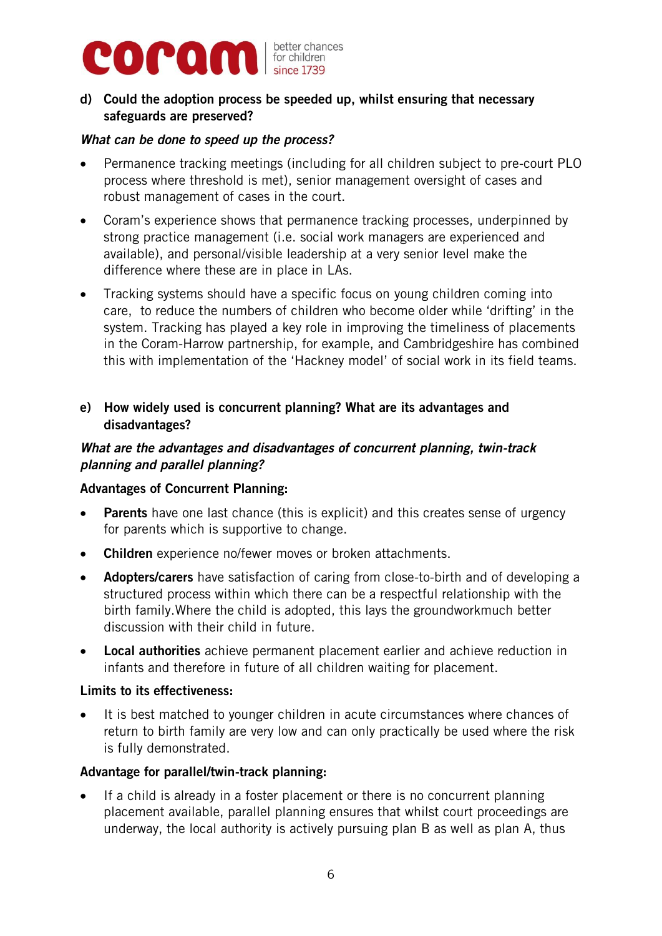

#### **d) Could the adoption process be speeded up, whilst ensuring that necessary safeguards are preserved?**

#### *What can be done to speed up the process?*

- Permanence tracking meetings (including for all children subject to pre-court PLO process where threshold is met), senior management oversight of cases and robust management of cases in the court.
- Coram's experience shows that permanence tracking processes, underpinned by strong practice management (i.e. social work managers are experienced and available), and personal/visible leadership at a very senior level make the difference where these are in place in LAs.
- Tracking systems should have a specific focus on young children coming into care, to reduce the numbers of children who become older while 'drifting' in the system. Tracking has played a key role in improving the timeliness of placements in the Coram-Harrow partnership, for example, and Cambridgeshire has combined this with implementation of the 'Hackney model' of social work in its field teams.

# **e) How widely used is concurrent planning? What are its advantages and disadvantages?**

# *What are the advantages and disadvantages of concurrent planning, twin-track planning and parallel planning?*

#### **Advantages of Concurrent Planning:**

- **Parents** have one last chance (this is explicit) and this creates sense of urgency for parents which is supportive to change.
- **Children** experience no/fewer moves or broken attachments.
- **Adopters/carers** have satisfaction of caring from close-to-birth and of developing a structured process within which there can be a respectful relationship with the birth family.Where the child is adopted, this lays the groundworkmuch better discussion with their child in future.
- **Local authorities** achieve permanent placement earlier and achieve reduction in infants and therefore in future of all children waiting for placement.

#### **Limits to its effectiveness:**

 It is best matched to younger children in acute circumstances where chances of return to birth family are very low and can only practically be used where the risk is fully demonstrated.

#### **Advantage for parallel/twin-track planning:**

• If a child is already in a foster placement or there is no concurrent planning placement available, parallel planning ensures that whilst court proceedings are underway, the local authority is actively pursuing plan B as well as plan A, thus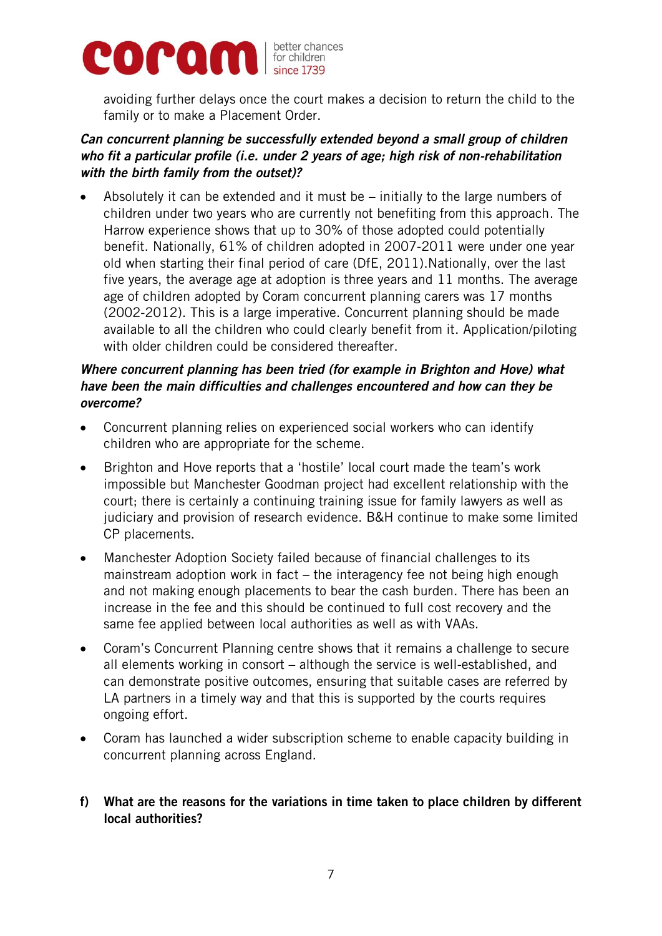

avoiding further delays once the court makes a decision to return the child to the family or to make a Placement Order.

# *Can concurrent planning be successfully extended beyond a small group of children who fit a particular profile (i.e. under 2 years of age; high risk of non-rehabilitation with the birth family from the outset)?*

 Absolutely it can be extended and it must be – initially to the large numbers of children under two years who are currently not benefiting from this approach. The Harrow experience shows that up to 30% of those adopted could potentially benefit. Nationally, 61% of children adopted in 2007-2011 were under one year old when starting their final period of care (DfE, 2011).Nationally, over the last five years, the average age at adoption is three years and 11 months. The average age of children adopted by Coram concurrent planning carers was 17 months (2002-2012). This is a large imperative. Concurrent planning should be made available to all the children who could clearly benefit from it. Application/piloting with older children could be considered thereafter.

# *Where concurrent planning has been tried (for example in Brighton and Hove) what have been the main difficulties and challenges encountered and how can they be overcome?*

- Concurrent planning relies on experienced social workers who can identify children who are appropriate for the scheme.
- Brighton and Hove reports that a 'hostile' local court made the team's work impossible but Manchester Goodman project had excellent relationship with the court; there is certainly a continuing training issue for family lawyers as well as judiciary and provision of research evidence. B&H continue to make some limited CP placements.
- Manchester Adoption Society failed because of financial challenges to its mainstream adoption work in fact – the interagency fee not being high enough and not making enough placements to bear the cash burden. There has been an increase in the fee and this should be continued to full cost recovery and the same fee applied between local authorities as well as with VAAs.
- Coram's Concurrent Planning centre shows that it remains a challenge to secure all elements working in consort – although the service is well-established, and can demonstrate positive outcomes, ensuring that suitable cases are referred by LA partners in a timely way and that this is supported by the courts requires ongoing effort.
- Coram has launched a wider subscription scheme to enable capacity building in concurrent planning across England.

# **f) What are the reasons for the variations in time taken to place children by different local authorities?**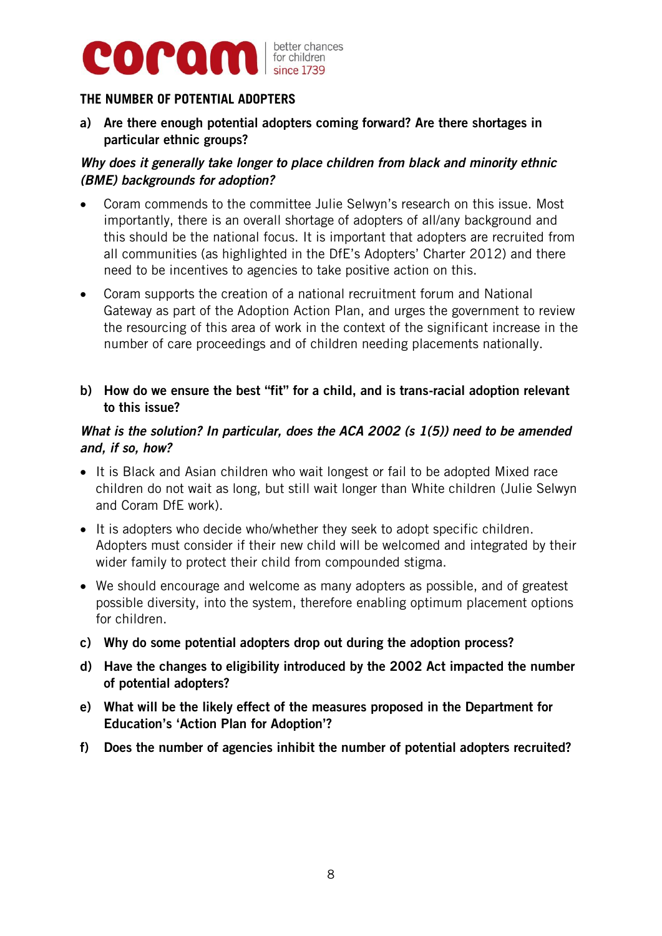

## **THE NUMBER OF POTENTIAL ADOPTERS**

**a) Are there enough potential adopters coming forward? Are there shortages in particular ethnic groups?** 

## *Why does it generally take longer to place children from black and minority ethnic (BME) backgrounds for adoption?*

- Coram commends to the committee Julie Selwyn's research on this issue. Most importantly, there is an overall shortage of adopters of all/any background and this should be the national focus. It is important that adopters are recruited from all communities (as highlighted in the DfE's Adopters' Charter 2012) and there need to be incentives to agencies to take positive action on this.
- Coram supports the creation of a national recruitment forum and National Gateway as part of the Adoption Action Plan, and urges the government to review the resourcing of this area of work in the context of the significant increase in the number of care proceedings and of children needing placements nationally.
- **b) How do we ensure the best "fit" for a child, and is trans-racial adoption relevant to this issue?**

## *What is the solution? In particular, does the ACA 2002 (s 1(5)) need to be amended and, if so, how?*

- It is Black and Asian children who wait longest or fail to be adopted Mixed race children do not wait as long, but still wait longer than White children (Julie Selwyn and Coram DfE work).
- It is adopters who decide who/whether they seek to adopt specific children. Adopters must consider if their new child will be welcomed and integrated by their wider family to protect their child from compounded stigma.
- We should encourage and welcome as many adopters as possible, and of greatest possible diversity, into the system, therefore enabling optimum placement options for children.
- **c) Why do some potential adopters drop out during the adoption process?**
- **d) Have the changes to eligibility introduced by the 2002 Act impacted the number of potential adopters?**
- **e) What will be the likely effect of the measures proposed in the Department for Education's 'Action Plan for Adoption'?**
- **f) Does the number of agencies inhibit the number of potential adopters recruited?**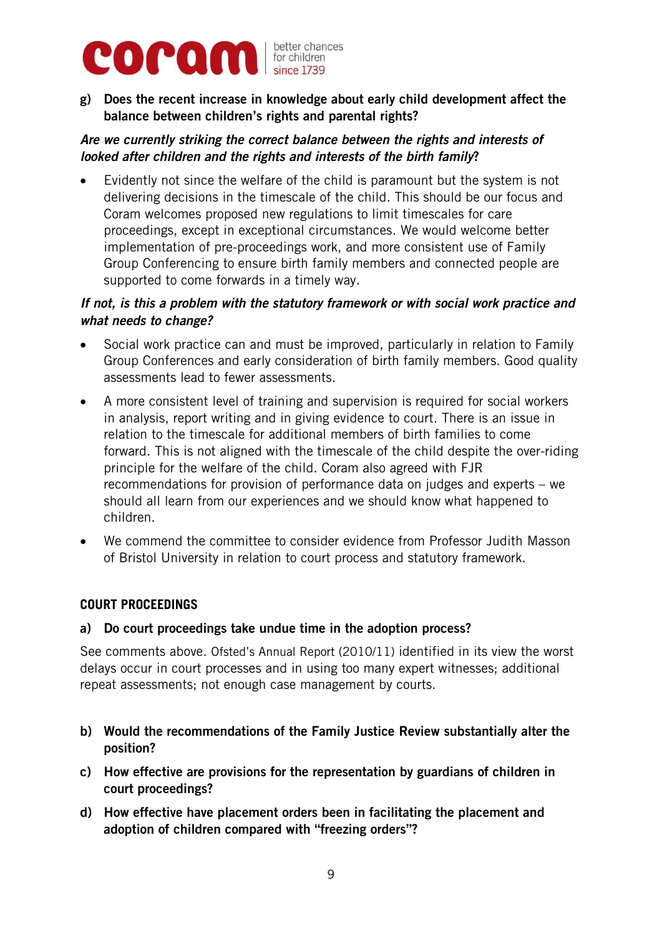

**g) Does the recent increase in knowledge about early child development affect the balance between children's rights and parental rights?** 

# *Are we currently striking the correct balance between the rights and interests of looked after children and the rights and interests of the birth family***?**

 Evidently not since the welfare of the child is paramount but the system is not delivering decisions in the timescale of the child. This should be our focus and Coram welcomes proposed new regulations to limit timescales for care proceedings, except in exceptional circumstances. We would welcome better implementation of pre-proceedings work, and more consistent use of Family Group Conferencing to ensure birth family members and connected people are supported to come forwards in a timely way.

# *If not, is this a problem with the statutory framework or with social work practice and what needs to change?*

- Social work practice can and must be improved, particularly in relation to Family Group Conferences and early consideration of birth family members. Good quality assessments lead to fewer assessments.
- A more consistent level of training and supervision is required for social workers in analysis, report writing and in giving evidence to court. There is an issue in relation to the timescale for additional members of birth families to come forward. This is not aligned with the timescale of the child despite the over-riding principle for the welfare of the child. Coram also agreed with FJR recommendations for provision of performance data on judges and experts – we should all learn from our experiences and we should know what happened to children.
- We commend the committee to consider evidence from Professor Judith Masson of Bristol University in relation to court process and statutory framework.

# **COURT PROCEEDINGS**

#### **a) Do court proceedings take undue time in the adoption process?**

See comments above. Ofsted's Annual Report (2010/11) identified in its view the worst delays occur in court processes and in using too many expert witnesses; additional repeat assessments; not enough case management by courts.

- **b) Would the recommendations of the Family Justice Review substantially alter the position?**
- **c) How effective are provisions for the representation by guardians of children in court proceedings?**
- **d) How effective have placement orders been in facilitating the placement and adoption of children compared with "freezing orders"?**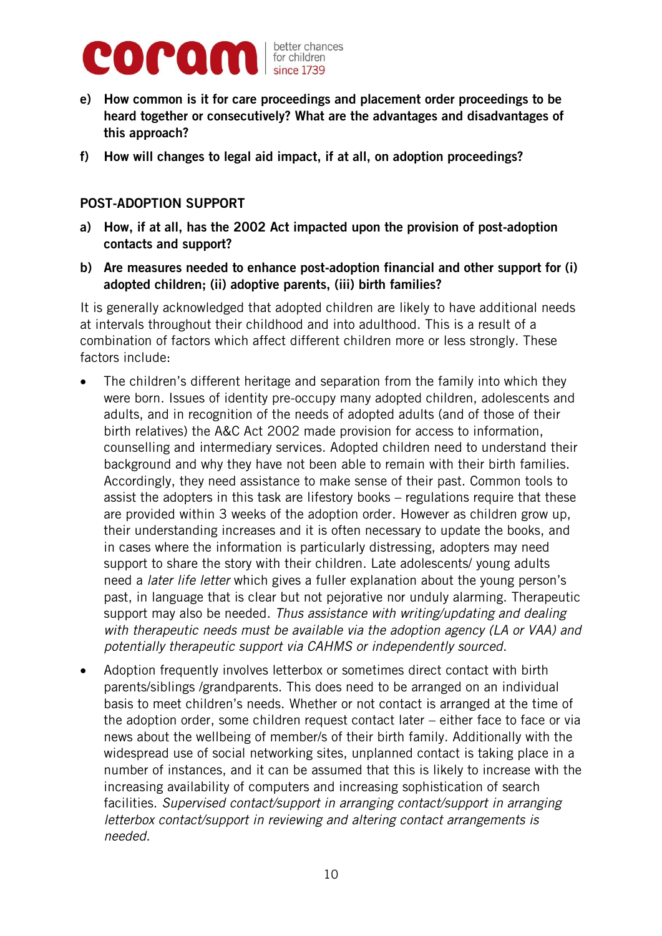

- **e) How common is it for care proceedings and placement order proceedings to be heard together or consecutively? What are the advantages and disadvantages of this approach?**
- **f) How will changes to legal aid impact, if at all, on adoption proceedings?**

## **POST-ADOPTION SUPPORT**

- **a) How, if at all, has the 2002 Act impacted upon the provision of post-adoption contacts and support?**
- **b) Are measures needed to enhance post-adoption financial and other support for (i) adopted children; (ii) adoptive parents, (iii) birth families?**

It is generally acknowledged that adopted children are likely to have additional needs at intervals throughout their childhood and into adulthood. This is a result of a combination of factors which affect different children more or less strongly. These factors include:

- The children's different heritage and separation from the family into which they were born. Issues of identity pre-occupy many adopted children, adolescents and adults, and in recognition of the needs of adopted adults (and of those of their birth relatives) the A&C Act 2002 made provision for access to information, counselling and intermediary services. Adopted children need to understand their background and why they have not been able to remain with their birth families. Accordingly, they need assistance to make sense of their past. Common tools to assist the adopters in this task are lifestory books – regulations require that these are provided within 3 weeks of the adoption order. However as children grow up, their understanding increases and it is often necessary to update the books, and in cases where the information is particularly distressing, adopters may need support to share the story with their children. Late adolescents/ young adults need a *later life letter* which gives a fuller explanation about the young person's past, in language that is clear but not pejorative nor unduly alarming. Therapeutic support may also be needed. *Thus assistance with writing/updating and dealing with therapeutic needs must be available via the adoption agency (LA or VAA) and potentially therapeutic support via CAHMS or independently sourced*.
- Adoption frequently involves letterbox or sometimes direct contact with birth parents/siblings /grandparents. This does need to be arranged on an individual basis to meet children's needs. Whether or not contact is arranged at the time of the adoption order, some children request contact later – either face to face or via news about the wellbeing of member/s of their birth family. Additionally with the widespread use of social networking sites, unplanned contact is taking place in a number of instances, and it can be assumed that this is likely to increase with the increasing availability of computers and increasing sophistication of search facilities. *Supervised contact/support in arranging contact/support in arranging letterbox contact/support in reviewing and altering contact arrangements is needed.*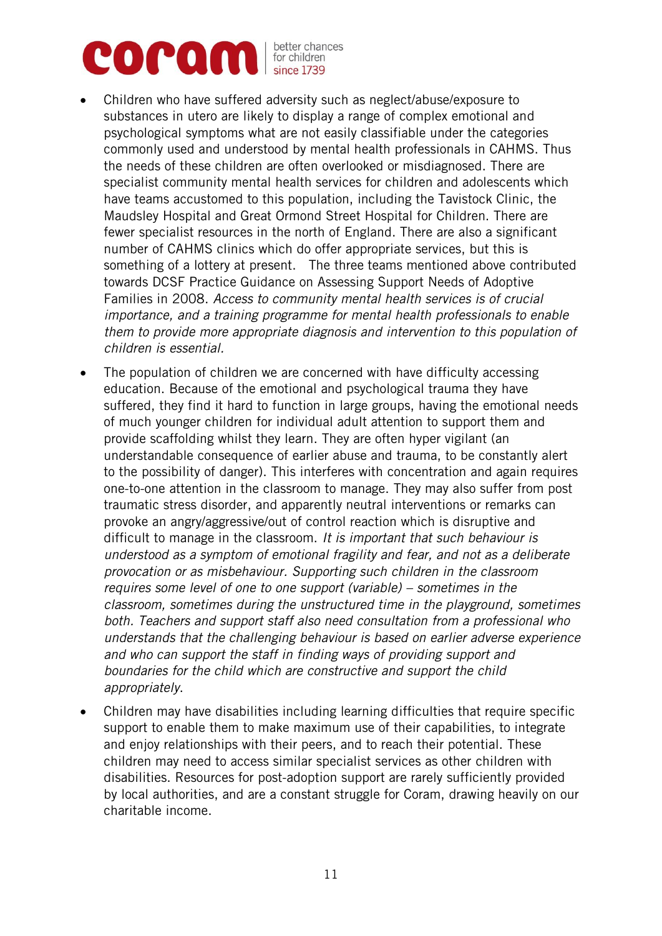

- Children who have suffered adversity such as neglect/abuse/exposure to substances in utero are likely to display a range of complex emotional and psychological symptoms what are not easily classifiable under the categories commonly used and understood by mental health professionals in CAHMS. Thus the needs of these children are often overlooked or misdiagnosed. There are specialist community mental health services for children and adolescents which have teams accustomed to this population, including the Tavistock Clinic, the Maudsley Hospital and Great Ormond Street Hospital for Children. There are fewer specialist resources in the north of England. There are also a significant number of CAHMS clinics which do offer appropriate services, but this is something of a lottery at present. The three teams mentioned above contributed towards DCSF Practice Guidance on Assessing Support Needs of Adoptive Families in 2008. *Access to community mental health services is of crucial importance, and a training programme for mental health professionals to enable them to provide more appropriate diagnosis and intervention to this population of children is essential.*
- The population of children we are concerned with have difficulty accessing education. Because of the emotional and psychological trauma they have suffered, they find it hard to function in large groups, having the emotional needs of much younger children for individual adult attention to support them and provide scaffolding whilst they learn. They are often hyper vigilant (an understandable consequence of earlier abuse and trauma, to be constantly alert to the possibility of danger). This interferes with concentration and again requires one-to-one attention in the classroom to manage. They may also suffer from post traumatic stress disorder, and apparently neutral interventions or remarks can provoke an angry/aggressive/out of control reaction which is disruptive and difficult to manage in the classroom. *It is important that such behaviour is understood as a symptom of emotional fragility and fear, and not as a deliberate provocation or as misbehaviour. Supporting such children in the classroom requires some level of one to one support (variable) – sometimes in the classroom, sometimes during the unstructured time in the playground, sometimes both. Teachers and support staff also need consultation from a professional who understands that the challenging behaviour is based on earlier adverse experience and who can support the staff in finding ways of providing support and boundaries for the child which are constructive and support the child appropriately*.
- Children may have disabilities including learning difficulties that require specific support to enable them to make maximum use of their capabilities, to integrate and enjoy relationships with their peers, and to reach their potential. These children may need to access similar specialist services as other children with disabilities. Resources for post-adoption support are rarely sufficiently provided by local authorities, and are a constant struggle for Coram, drawing heavily on our charitable income.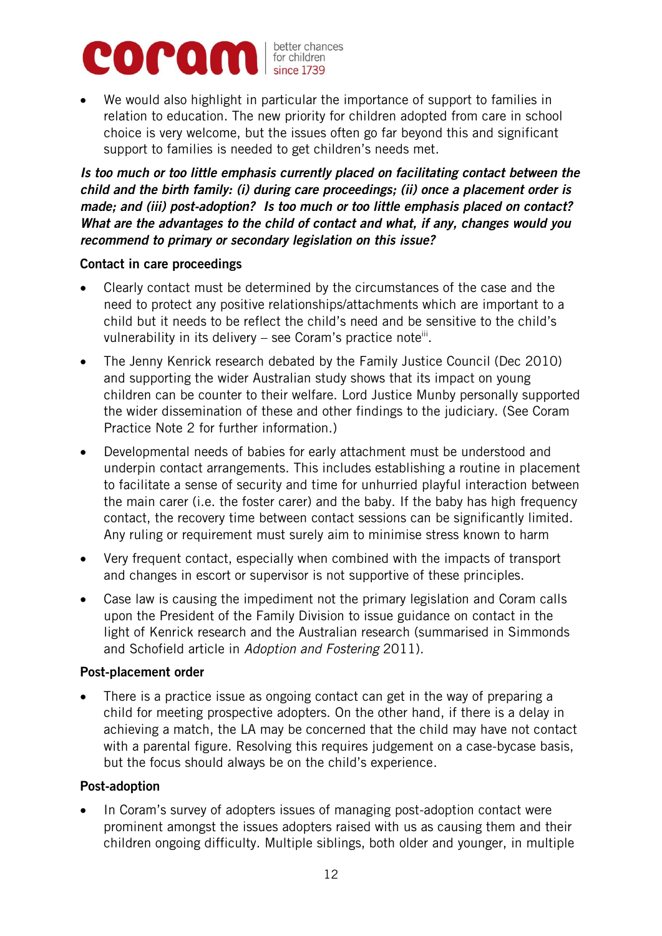

 We would also highlight in particular the importance of support to families in relation to education. The new priority for children adopted from care in school choice is very welcome, but the issues often go far beyond this and significant support to families is needed to get children's needs met.

*Is too much or too little emphasis currently placed on facilitating contact between the child and the birth family: (i) during care proceedings; (ii) once a placement order is made; and (iii) post-adoption? Is too much or too little emphasis placed on contact? What are the advantages to the child of contact and what, if any, changes would you recommend to primary or secondary legislation on this issue?*

#### **Contact in care proceedings**

- Clearly contact must be determined by the circumstances of the case and the need to protect any positive relationships/attachments which are important to a child but it needs to be reflect the child's need and be sensitive to the child's vulnerability in its delivery – see Coram's practice note<sup>iii</sup>.
- The Jenny Kenrick research debated by the Family Justice Council (Dec 2010) and supporting the wider Australian study shows that its impact on young children can be counter to their welfare. Lord Justice Munby personally supported the wider dissemination of these and other findings to the judiciary. (See Coram Practice Note 2 for further information.)
- Developmental needs of babies for early attachment must be understood and underpin contact arrangements. This includes establishing a routine in placement to facilitate a sense of security and time for unhurried playful interaction between the main carer (i.e. the foster carer) and the baby. If the baby has high frequency contact, the recovery time between contact sessions can be significantly limited. Any ruling or requirement must surely aim to minimise stress known to harm
- Very frequent contact, especially when combined with the impacts of transport and changes in escort or supervisor is not supportive of these principles.
- Case law is causing the impediment not the primary legislation and Coram calls upon the President of the Family Division to issue guidance on contact in the light of Kenrick research and the Australian research (summarised in Simmonds and Schofield article in *Adoption and Fostering* 2011).

# **Post-placement order**

 There is a practice issue as ongoing contact can get in the way of preparing a child for meeting prospective adopters. On the other hand, if there is a delay in achieving a match, the LA may be concerned that the child may have not contact with a parental figure. Resolving this requires judgement on a case-bycase basis, but the focus should always be on the child's experience.

# **Post-adoption**

 In Coram's survey of adopters issues of managing post-adoption contact were prominent amongst the issues adopters raised with us as causing them and their children ongoing difficulty. Multiple siblings, both older and younger, in multiple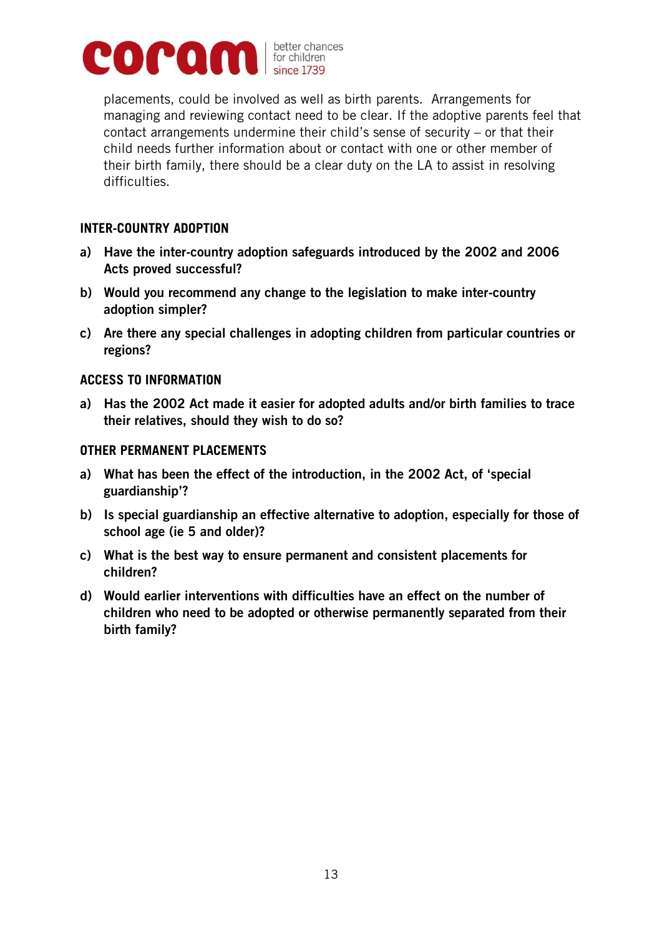

placements, could be involved as well as birth parents. Arrangements for managing and reviewing contact need to be clear. If the adoptive parents feel that contact arrangements undermine their child's sense of security – or that their child needs further information about or contact with one or other member of their birth family, there should be a clear duty on the LA to assist in resolving difficulties.

#### **INTER-COUNTRY ADOPTION**

- **a) Have the inter-country adoption safeguards introduced by the 2002 and 2006 Acts proved successful?**
- **b) Would you recommend any change to the legislation to make inter-country adoption simpler?**
- **c) Are there any special challenges in adopting children from particular countries or regions?**

#### **ACCESS TO INFORMATION**

**a) Has the 2002 Act made it easier for adopted adults and/or birth families to trace their relatives, should they wish to do so?** 

#### **OTHER PERMANENT PLACEMENTS**

- **a) What has been the effect of the introduction, in the 2002 Act, of 'special guardianship'?**
- **b) Is special guardianship an effective alternative to adoption, especially for those of school age (ie 5 and older)?**
- **c) What is the best way to ensure permanent and consistent placements for children?**
- **d) Would earlier interventions with difficulties have an effect on the number of children who need to be adopted or otherwise permanently separated from their birth family?**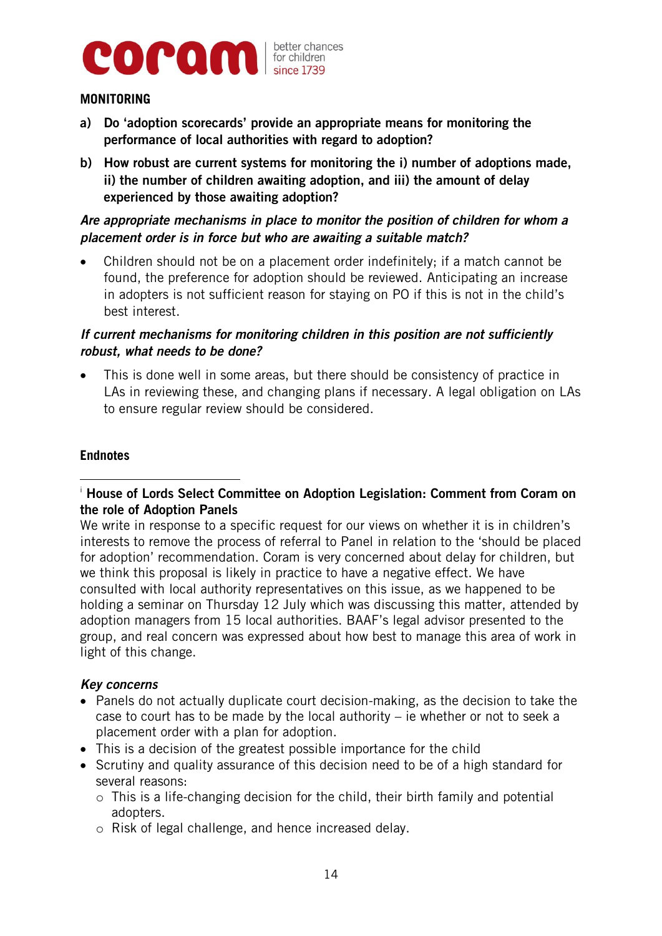

#### **MONITORING**

- **a) Do 'adoption scorecards' provide an appropriate means for monitoring the performance of local authorities with regard to adoption?**
- **b) How robust are current systems for monitoring the i) number of adoptions made, ii) the number of children awaiting adoption, and iii) the amount of delay experienced by those awaiting adoption?**

# *Are appropriate mechanisms in place to monitor the position of children for whom a placement order is in force but who are awaiting a suitable match?*

 Children should not be on a placement order indefinitely; if a match cannot be found, the preference for adoption should be reviewed. Anticipating an increase in adopters is not sufficient reason for staying on PO if this is not in the child's best interest.

## *If current mechanisms for monitoring children in this position are not sufficiently robust, what needs to be done?*

 This is done well in some areas, but there should be consistency of practice in LAs in reviewing these, and changing plans if necessary. A legal obligation on LAs to ensure regular review should be considered.

#### **Endnotes**

#### 1 <sup>i</sup> **House of Lords Select Committee on Adoption Legislation: Comment from Coram on the role of Adoption Panels**

We write in response to a specific request for our views on whether it is in children's interests to remove the process of referral to Panel in relation to the 'should be placed for adoption' recommendation. Coram is very concerned about delay for children, but we think this proposal is likely in practice to have a negative effect. We have consulted with local authority representatives on this issue, as we happened to be holding a seminar on Thursday 12 July which was discussing this matter, attended by adoption managers from 15 local authorities. BAAF's legal advisor presented to the group, and real concern was expressed about how best to manage this area of work in light of this change.

#### *Key concerns*

- Panels do not actually duplicate court decision-making, as the decision to take the case to court has to be made by the local authority – ie whether or not to seek a placement order with a plan for adoption.
- This is a decision of the greatest possible importance for the child
- Scrutiny and quality assurance of this decision need to be of a high standard for several reasons:
	- o This is a life-changing decision for the child, their birth family and potential adopters.
	- o Risk of legal challenge, and hence increased delay.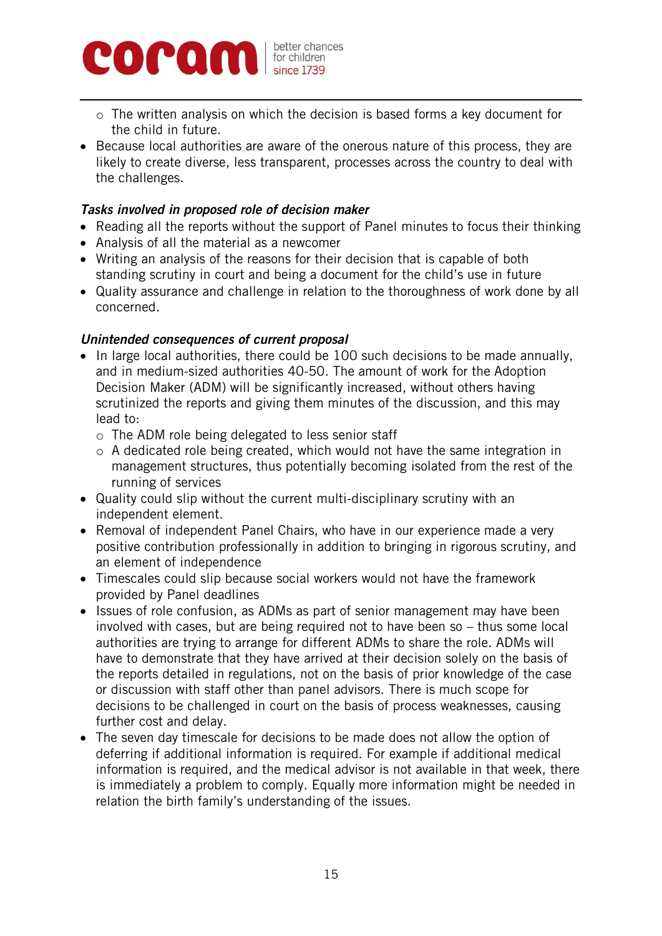

**.** 

- o The written analysis on which the decision is based forms a key document for the child in future.
- Because local authorities are aware of the onerous nature of this process, they are likely to create diverse, less transparent, processes across the country to deal with the challenges.

## *Tasks involved in proposed role of decision maker*

- Reading all the reports without the support of Panel minutes to focus their thinking
- Analysis of all the material as a newcomer
- Writing an analysis of the reasons for their decision that is capable of both standing scrutiny in court and being a document for the child's use in future
- Quality assurance and challenge in relation to the thoroughness of work done by all concerned.

#### *Unintended consequences of current proposal*

- In large local authorities, there could be 100 such decisions to be made annually, and in medium-sized authorities 40-50. The amount of work for the Adoption Decision Maker (ADM) will be significantly increased, without others having scrutinized the reports and giving them minutes of the discussion, and this may lead to:
	- o The ADM role being delegated to less senior staff
	- o A dedicated role being created, which would not have the same integration in management structures, thus potentially becoming isolated from the rest of the running of services
- Quality could slip without the current multi-disciplinary scrutiny with an independent element.
- Removal of independent Panel Chairs, who have in our experience made a very positive contribution professionally in addition to bringing in rigorous scrutiny, and an element of independence
- Timescales could slip because social workers would not have the framework provided by Panel deadlines
- Issues of role confusion, as ADMs as part of senior management may have been involved with cases, but are being required not to have been so – thus some local authorities are trying to arrange for different ADMs to share the role. ADMs will have to demonstrate that they have arrived at their decision solely on the basis of the reports detailed in regulations, not on the basis of prior knowledge of the case or discussion with staff other than panel advisors. There is much scope for decisions to be challenged in court on the basis of process weaknesses, causing further cost and delay.
- The seven day timescale for decisions to be made does not allow the option of deferring if additional information is required. For example if additional medical information is required, and the medical advisor is not available in that week, there is immediately a problem to comply. Equally more information might be needed in relation the birth family's understanding of the issues.